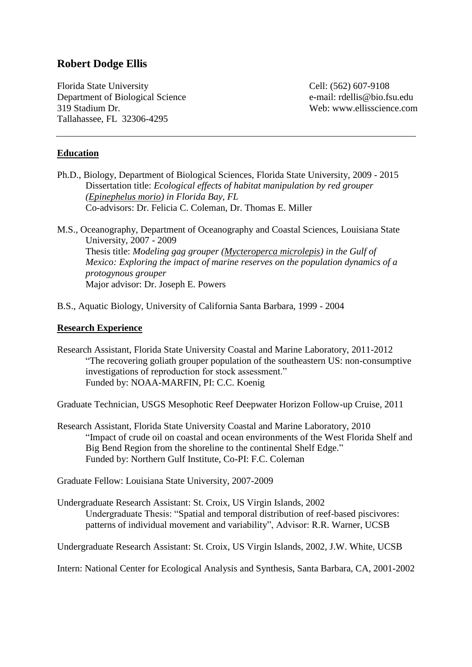# **Robert Dodge Ellis**

Florida State University Cell: (562) 607-9108 Department of Biological Science e-mail: rdellis@bio.fsu.edu 319 Stadium Dr. Web: www.ellisscience.com Tallahassee, FL 32306-4295

#### **Education**

- Ph.D., Biology, Department of Biological Sciences, Florida State University, 2009 2015 Dissertation title: *Ecological effects of habitat manipulation by red grouper (Epinephelus morio) in Florida Bay, FL* Co-advisors: Dr. Felicia C. Coleman, Dr. Thomas E. Miller
- M.S., Oceanography, Department of Oceanography and Coastal Sciences, Louisiana State University, 2007 - 2009 Thesis title: *Modeling gag grouper (Mycteroperca microlepis) in the Gulf of Mexico: Exploring the impact of marine reserves on the population dynamics of a protogynous grouper* Major advisor: Dr. Joseph E. Powers
- B.S., Aquatic Biology, University of California Santa Barbara, 1999 2004

#### **Research Experience**

Research Assistant, Florida State University Coastal and Marine Laboratory, 2011-2012 "The recovering goliath grouper population of the southeastern US: non-consumptive investigations of reproduction for stock assessment." Funded by: NOAA-MARFIN, PI: C.C. Koenig

Graduate Technician, USGS Mesophotic Reef Deepwater Horizon Follow-up Cruise, 2011

Research Assistant, Florida State University Coastal and Marine Laboratory, 2010 "Impact of crude oil on coastal and ocean environments of the West Florida Shelf and Big Bend Region from the shoreline to the continental Shelf Edge." Funded by: Northern Gulf Institute, Co-PI: F.C. Coleman

Graduate Fellow: Louisiana State University, 2007-2009

Undergraduate Research Assistant: St. Croix, US Virgin Islands, 2002 Undergraduate Thesis: "Spatial and temporal distribution of reef-based piscivores: patterns of individual movement and variability", Advisor: R.R. Warner, UCSB

Undergraduate Research Assistant: St. Croix, US Virgin Islands, 2002, J.W. White, UCSB

Intern: National Center for Ecological Analysis and Synthesis, Santa Barbara, CA, 2001-2002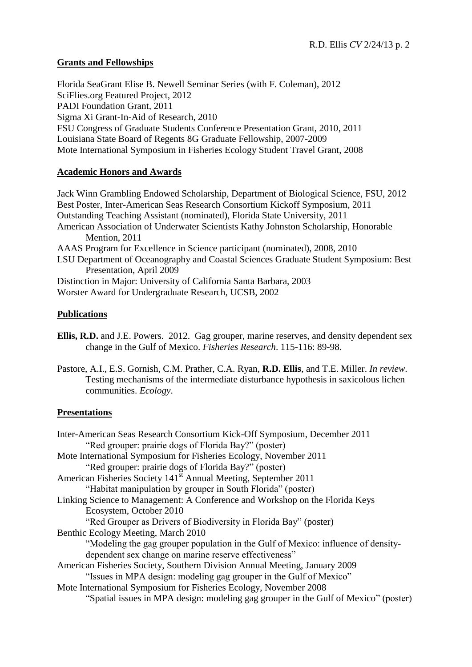# **Grants and Fellowships**

Florida SeaGrant Elise B. Newell Seminar Series (with F. Coleman), 2012 SciFlies.org Featured Project, 2012 PADI Foundation Grant, 2011 Sigma Xi Grant-In-Aid of Research, 2010 FSU Congress of Graduate Students Conference Presentation Grant, 2010, 2011 Louisiana State Board of Regents 8G Graduate Fellowship, 2007-2009 Mote International Symposium in Fisheries Ecology Student Travel Grant, 2008

# **Academic Honors and Awards**

Jack Winn Grambling Endowed Scholarship, Department of Biological Science, FSU, 2012 Best Poster, Inter-American Seas Research Consortium Kickoff Symposium, 2011 Outstanding Teaching Assistant (nominated), Florida State University, 2011 American Association of Underwater Scientists Kathy Johnston Scholarship, Honorable Mention, 2011 AAAS Program for Excellence in Science participant (nominated), 2008, 2010 LSU Department of Oceanography and Coastal Sciences Graduate Student Symposium: Best Presentation, April 2009 Distinction in Major: University of California Santa Barbara, 2003 Worster Award for Undergraduate Research, UCSB, 2002

## **Publications**

- **Ellis, R.D.** and J.E. Powers. 2012. Gag grouper, marine reserves, and density dependent sex change in the Gulf of Mexico. *Fisheries Research*. 115-116: 89-98.
- Pastore, A.I., E.S. Gornish, C.M. Prather, C.A. Ryan, **R.D. Ellis**, and T.E. Miller. *In review*. Testing mechanisms of the intermediate disturbance hypothesis in saxicolous lichen communities. *Ecology*.

# **Presentations**

| Inter-American Seas Research Consortium Kick-Off Symposium, December 2011           |
|-------------------------------------------------------------------------------------|
| "Red grouper: prairie dogs of Florida Bay?" (poster)                                |
| Mote International Symposium for Fisheries Ecology, November 2011                   |
| "Red grouper: prairie dogs of Florida Bay?" (poster)                                |
| American Fisheries Society 141 <sup>st</sup> Annual Meeting, September 2011         |
| "Habitat manipulation by grouper in South Florida" (poster)                         |
| Linking Science to Management: A Conference and Workshop on the Florida Keys        |
| Ecosystem, October 2010                                                             |
| "Red Grouper as Drivers of Biodiversity in Florida Bay" (poster)                    |
| Benthic Ecology Meeting, March 2010                                                 |
| "Modeling the gag grouper population in the Gulf of Mexico: influence of density-   |
| dependent sex change on marine reserve effectiveness"                               |
| American Fisheries Society, Southern Division Annual Meeting, January 2009          |
| "Issues in MPA design: modeling gag grouper in the Gulf of Mexico"                  |
| Mote International Symposium for Fisheries Ecology, November 2008                   |
| "Spatial issues in MPA design: modeling gag grouper in the Gulf of Mexico" (poster) |